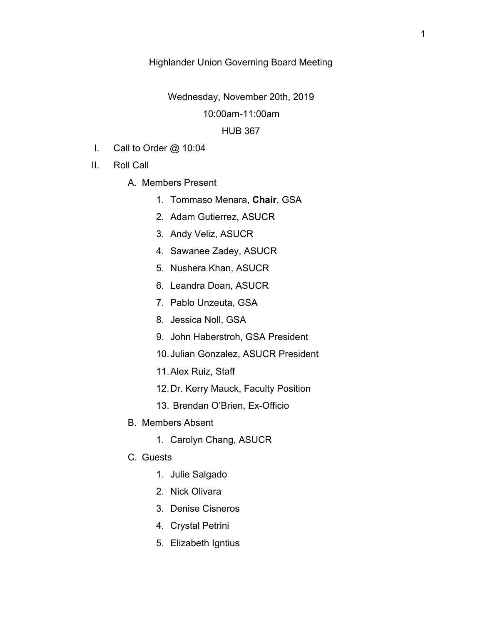# Highlander Union Governing Board Meeting

Wednesday, November 20th, 2019

## 10:00am-11:00am

## HUB 367

- I. Call to Order @ 10:04
- II. Roll Call
	- A. Members Present
		- 1. Tommaso Menara, **Chair**, GSA
		- 2. Adam Gutierrez, ASUCR
		- 3. Andy Veliz, ASUCR
		- 4. Sawanee Zadey, ASUCR
		- 5. Nushera Khan, ASUCR
		- 6. Leandra Doan, ASUCR
		- 7. Pablo Unzeuta, GSA
		- 8. Jessica Noll, GSA
		- 9. John Haberstroh, GSA President
		- 10.Julian Gonzalez, ASUCR President
		- 11.Alex Ruiz, Staff
		- 12.Dr. Kerry Mauck, Faculty Position
		- 13. Brendan O'Brien, Ex-Officio
	- B. Members Absent
		- 1. Carolyn Chang, ASUCR
	- C. Guests
		- 1. Julie Salgado
		- 2. Nick Olivara
		- 3. Denise Cisneros
		- 4. Crystal Petrini
		- 5. Elizabeth Igntius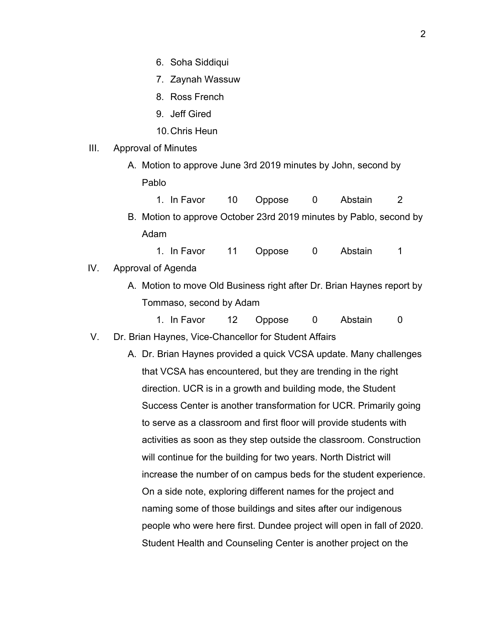- 6. Soha Siddiqui
- 7. Zaynah Wassuw
- 8. Ross French
- 9. Jeff Gired
- 10.Chris Heun
- III. Approval of Minutes
	- A. Motion to approve June 3rd 2019 minutes by John, second by Pablo
		- 1. In Favor 10 Oppose 0 Abstain 2
	- B. Motion to approve October 23rd 2019 minutes by Pablo, second by Adam
		- 1. In Favor 11 Oppose 0 Abstain 1
- IV. Approval of Agenda
	- A. Motion to move Old Business right after Dr. Brian Haynes report by Tommaso, second by Adam
		- 1. In Favor 12 Oppose 0 Abstain 0
- V. Dr. Brian Haynes, Vice-Chancellor for Student Affairs
	- A. Dr. Brian Haynes provided a quick VCSA update. Many challenges that VCSA has encountered, but they are trending in the right direction. UCR is in a growth and building mode, the Student Success Center is another transformation for UCR. Primarily going to serve as a classroom and first floor will provide students with activities as soon as they step outside the classroom. Construction will continue for the building for two years. North District will increase the number of on campus beds for the student experience. On a side note, exploring different names for the project and naming some of those buildings and sites after our indigenous people who were here first. Dundee project will open in fall of 2020. Student Health and Counseling Center is another project on the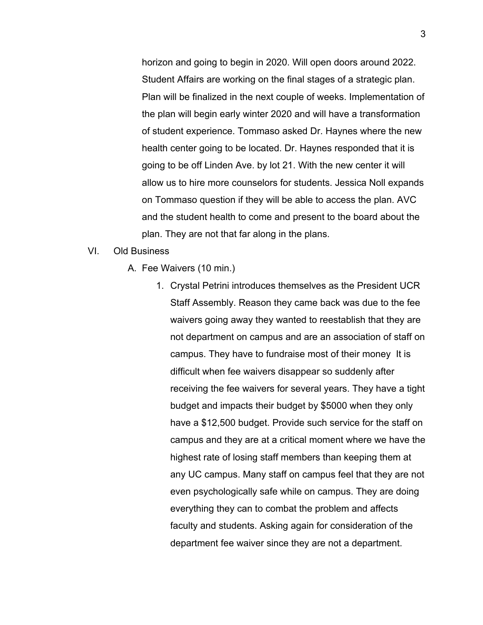horizon and going to begin in 2020. Will open doors around 2022. Student Affairs are working on the final stages of a strategic plan. Plan will be finalized in the next couple of weeks. Implementation of the plan will begin early winter 2020 and will have a transformation of student experience. Tommaso asked Dr. Haynes where the new health center going to be located. Dr. Haynes responded that it is going to be off Linden Ave. by lot 21. With the new center it will allow us to hire more counselors for students. Jessica Noll expands on Tommaso question if they will be able to access the plan. AVC and the student health to come and present to the board about the plan. They are not that far along in the plans.

#### VI. Old Business

- A. Fee Waivers (10 min.)
	- 1. Crystal Petrini introduces themselves as the President UCR Staff Assembly. Reason they came back was due to the fee waivers going away they wanted to reestablish that they are not department on campus and are an association of staff on campus. They have to fundraise most of their money It is difficult when fee waivers disappear so suddenly after receiving the fee waivers for several years. They have a tight budget and impacts their budget by \$5000 when they only have a \$12,500 budget. Provide such service for the staff on campus and they are at a critical moment where we have the highest rate of losing staff members than keeping them at any UC campus. Many staff on campus feel that they are not even psychologically safe while on campus. They are doing everything they can to combat the problem and affects faculty and students. Asking again for consideration of the department fee waiver since they are not a department.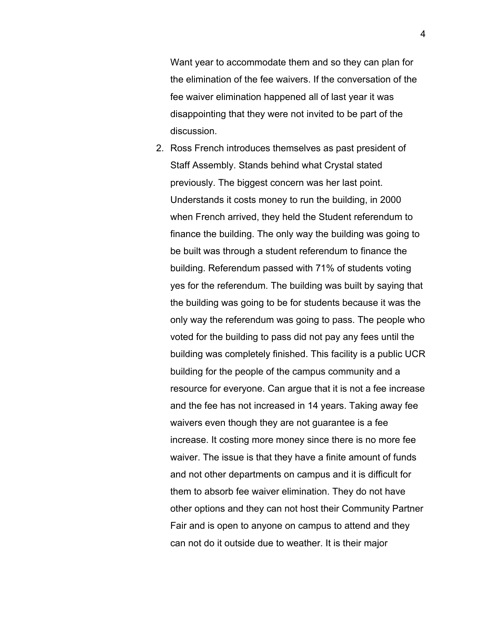Want year to accommodate them and so they can plan for the elimination of the fee waivers. If the conversation of the fee waiver elimination happened all of last year it was disappointing that they were not invited to be part of the discussion.

2. Ross French introduces themselves as past president of Staff Assembly. Stands behind what Crystal stated previously. The biggest concern was her last point. Understands it costs money to run the building, in 2000 when French arrived, they held the Student referendum to finance the building. The only way the building was going to be built was through a student referendum to finance the building. Referendum passed with 71% of students voting yes for the referendum. The building was built by saying that the building was going to be for students because it was the only way the referendum was going to pass. The people who voted for the building to pass did not pay any fees until the building was completely finished. This facility is a public UCR building for the people of the campus community and a resource for everyone. Can argue that it is not a fee increase and the fee has not increased in 14 years. Taking away fee waivers even though they are not guarantee is a fee increase. It costing more money since there is no more fee waiver. The issue is that they have a finite amount of funds and not other departments on campus and it is difficult for them to absorb fee waiver elimination. They do not have other options and they can not host their Community Partner Fair and is open to anyone on campus to attend and they can not do it outside due to weather. It is their major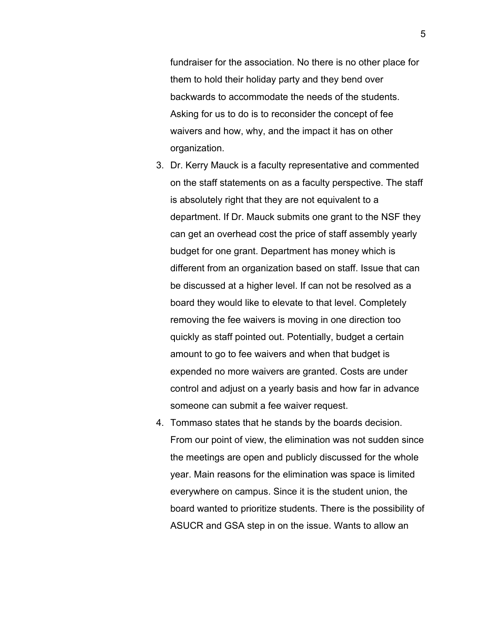fundraiser for the association. No there is no other place for them to hold their holiday party and they bend over backwards to accommodate the needs of the students. Asking for us to do is to reconsider the concept of fee waivers and how, why, and the impact it has on other organization.

- 3. Dr. Kerry Mauck is a faculty representative and commented on the staff statements on as a faculty perspective. The staff is absolutely right that they are not equivalent to a department. If Dr. Mauck submits one grant to the NSF they can get an overhead cost the price of staff assembly yearly budget for one grant. Department has money which is different from an organization based on staff. Issue that can be discussed at a higher level. If can not be resolved as a board they would like to elevate to that level. Completely removing the fee waivers is moving in one direction too quickly as staff pointed out. Potentially, budget a certain amount to go to fee waivers and when that budget is expended no more waivers are granted. Costs are under control and adjust on a yearly basis and how far in advance someone can submit a fee waiver request.
- 4. Tommaso states that he stands by the boards decision. From our point of view, the elimination was not sudden since the meetings are open and publicly discussed for the whole year. Main reasons for the elimination was space is limited everywhere on campus. Since it is the student union, the board wanted to prioritize students. There is the possibility of ASUCR and GSA step in on the issue. Wants to allow an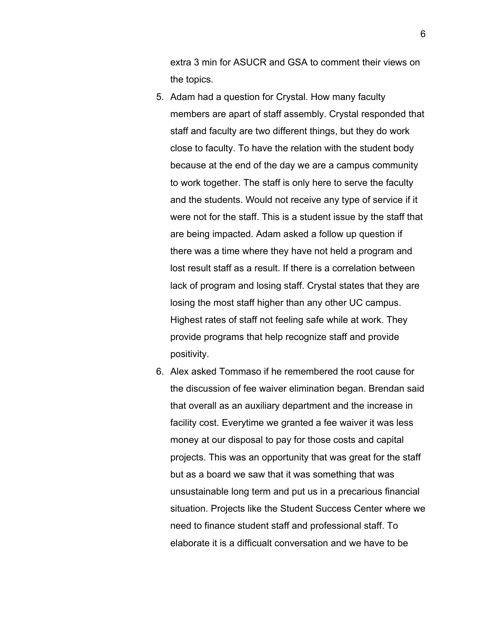extra 3 min for ASUCR and GSA to comment their views on the topics.

- 5. Adam had a question for Crystal. How many faculty members are apart of staff assembly. Crystal responded that staff and faculty are two different things, but they do work close to faculty. To have the relation with the student body because at the end of the day we are a campus community to work together. The staff is only here to serve the faculty and the students. Would not receive any type of service if it were not for the staff. This is a student issue by the staff that are being impacted. Adam asked a follow up question if there was a time where they have not held a program and lost result staff as a result. If there is a correlation between lack of program and losing staff. Crystal states that they are losing the most staff higher than any other UC campus. Highest rates of staff not feeling safe while at work. They provide programs that help recognize staff and provide positivity.
- 6. Alex asked Tommaso if he remembered the root cause for the discussion of fee waiver elimination began. Brendan said that overall as an auxiliary department and the increase in facility cost. Everytime we granted a fee waiver it was less money at our disposal to pay for those costs and capital projects. This was an opportunity that was great for the staff but as a board we saw that it was something that was unsustainable long term and put us in a precarious financial situation. Projects like the Student Success Center where we need to finance student staff and professional staff. To elaborate it is a difficualt conversation and we have to be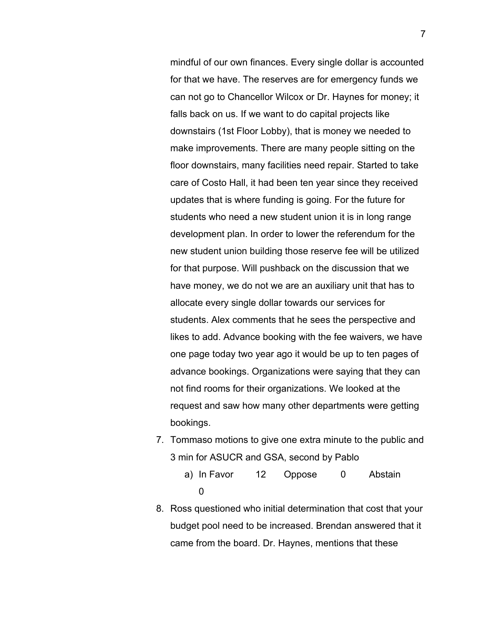mindful of our own finances. Every single dollar is accounted for that we have. The reserves are for emergency funds we can not go to Chancellor Wilcox or Dr. Haynes for money; it falls back on us. If we want to do capital projects like downstairs (1st Floor Lobby), that is money we needed to make improvements. There are many people sitting on the floor downstairs, many facilities need repair. Started to take care of Costo Hall, it had been ten year since they received updates that is where funding is going. For the future for students who need a new student union it is in long range development plan. In order to lower the referendum for the new student union building those reserve fee will be utilized for that purpose. Will pushback on the discussion that we have money, we do not we are an auxiliary unit that has to allocate every single dollar towards our services for students. Alex comments that he sees the perspective and likes to add. Advance booking with the fee waivers, we have one page today two year ago it would be up to ten pages of advance bookings. Organizations were saying that they can not find rooms for their organizations. We looked at the request and saw how many other departments were getting bookings.

- 7. Tommaso motions to give one extra minute to the public and 3 min for ASUCR and GSA, second by Pablo
	- a) In Favor 12 Oppose 0 Abstain 0
- 8. Ross questioned who initial determination that cost that your budget pool need to be increased. Brendan answered that it came from the board. Dr. Haynes, mentions that these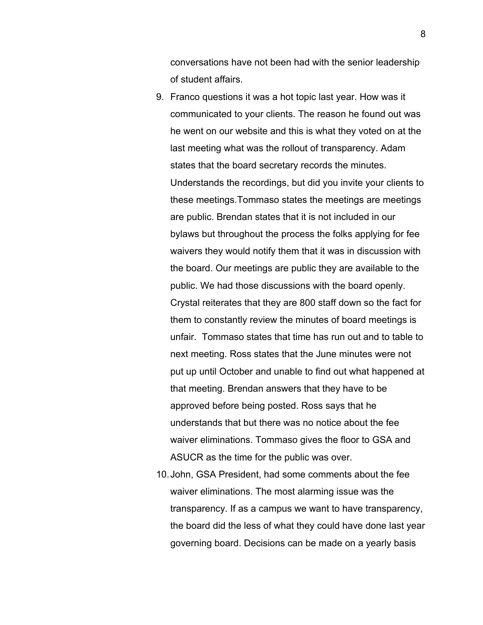conversations have not been had with the senior leadership of student affairs.

- 9. Franco questions it was a hot topic last year. How was it communicated to your clients. The reason he found out was he went on our website and this is what they voted on at the last meeting what was the rollout of transparency. Adam states that the board secretary records the minutes. Understands the recordings, but did you invite your clients to these meetings.Tommaso states the meetings are meetings are public. Brendan states that it is not included in our bylaws but throughout the process the folks applying for fee waivers they would notify them that it was in discussion with the board. Our meetings are public they are available to the public. We had those discussions with the board openly. Crystal reiterates that they are 800 staff down so the fact for them to constantly review the minutes of board meetings is unfair. Tommaso states that time has run out and to table to next meeting. Ross states that the June minutes were not put up until October and unable to find out what happened at that meeting. Brendan answers that they have to be approved before being posted. Ross says that he understands that but there was no notice about the fee waiver eliminations. Tommaso gives the floor to GSA and ASUCR as the time for the public was over.
- 10.John, GSA President, had some comments about the fee waiver eliminations. The most alarming issue was the transparency. If as a campus we want to have transparency, the board did the less of what they could have done last year governing board. Decisions can be made on a yearly basis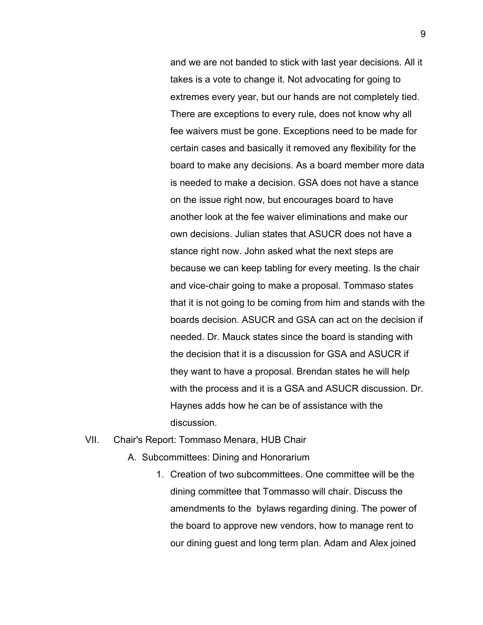and we are not banded to stick with last year decisions. All it takes is a vote to change it. Not advocating for going to extremes every year, but our hands are not completely tied. There are exceptions to every rule, does not know why all fee waivers must be gone. Exceptions need to be made for certain cases and basically it removed any flexibility for the board to make any decisions. As a board member more data is needed to make a decision. GSA does not have a stance on the issue right now, but encourages board to have another look at the fee waiver eliminations and make our own decisions. Julian states that ASUCR does not have a stance right now. John asked what the next steps are because we can keep tabling for every meeting. Is the chair and vice-chair going to make a proposal. Tommaso states that it is not going to be coming from him and stands with the boards decision. ASUCR and GSA can act on the decision if needed. Dr. Mauck states since the board is standing with the decision that it is a discussion for GSA and ASUCR if they want to have a proposal. Brendan states he will help with the process and it is a GSA and ASUCR discussion. Dr. Haynes adds how he can be of assistance with the discussion.

### VII. Chair's Report: Tommaso Menara, HUB Chair

- A. Subcommittees: Dining and Honorarium
	- 1. Creation of two subcommittees. One committee will be the dining committee that Tommasso will chair. Discuss the amendments to the bylaws regarding dining. The power of the board to approve new vendors, how to manage rent to our dining guest and long term plan. Adam and Alex joined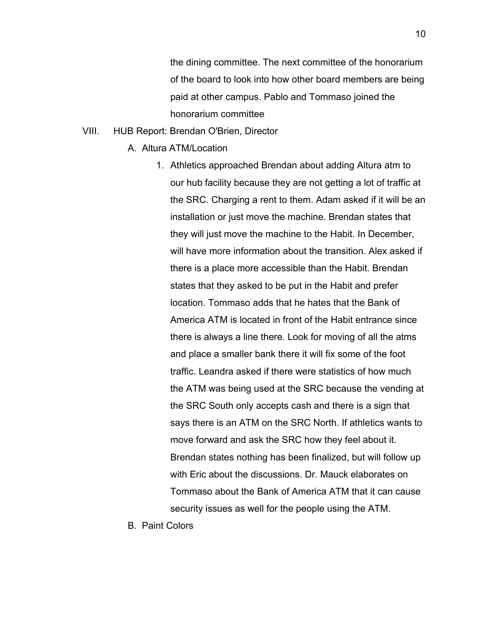the dining committee. The next committee of the honorarium of the board to look into how other board members are being paid at other campus. Pablo and Tommaso joined the honorarium committee

### VIII. HUB Report: Brendan O'Brien, Director

- A. Altura ATM/Location
	- 1. Athletics approached Brendan about adding Altura atm to our hub facility because they are not getting a lot of traffic at the SRC. Charging a rent to them. Adam asked if it will be an installation or just move the machine. Brendan states that they will just move the machine to the Habit. In December, will have more information about the transition. Alex asked if there is a place more accessible than the Habit. Brendan states that they asked to be put in the Habit and prefer location. Tommaso adds that he hates that the Bank of America ATM is located in front of the Habit entrance since there is always a line there. Look for moving of all the atms and place a smaller bank there it will fix some of the foot traffic. Leandra asked if there were statistics of how much the ATM was being used at the SRC because the vending at the SRC South only accepts cash and there is a sign that says there is an ATM on the SRC North. If athletics wants to move forward and ask the SRC how they feel about it. Brendan states nothing has been finalized, but will follow up with Eric about the discussions. Dr. Mauck elaborates on Tommaso about the Bank of America ATM that it can cause security issues as well for the people using the ATM.
- B. Paint Colors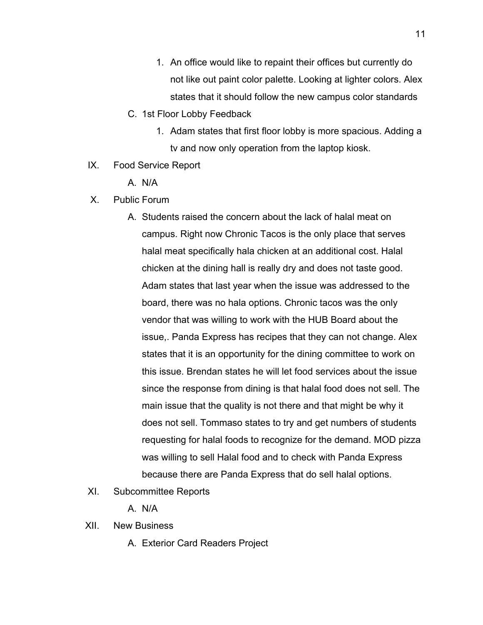- 1. An office would like to repaint their offices but currently do not like out paint color palette. Looking at lighter colors. Alex states that it should follow the new campus color standards
- C. 1st Floor Lobby Feedback
	- 1. Adam states that first floor lobby is more spacious. Adding a tv and now only operation from the laptop kiosk.
- IX. Food Service Report
	- A. N/A
- X. Public Forum
	- A. Students raised the concern about the lack of halal meat on campus. Right now Chronic Tacos is the only place that serves halal meat specifically hala chicken at an additional cost. Halal chicken at the dining hall is really dry and does not taste good. Adam states that last year when the issue was addressed to the board, there was no hala options. Chronic tacos was the only vendor that was willing to work with the HUB Board about the issue,. Panda Express has recipes that they can not change. Alex states that it is an opportunity for the dining committee to work on this issue. Brendan states he will let food services about the issue since the response from dining is that halal food does not sell. The main issue that the quality is not there and that might be why it does not sell. Tommaso states to try and get numbers of students requesting for halal foods to recognize for the demand. MOD pizza was willing to sell Halal food and to check with Panda Express because there are Panda Express that do sell halal options.
- XI. Subcommittee Reports
	- A. N/A
- XII. New Business
	- A. Exterior Card Readers Project